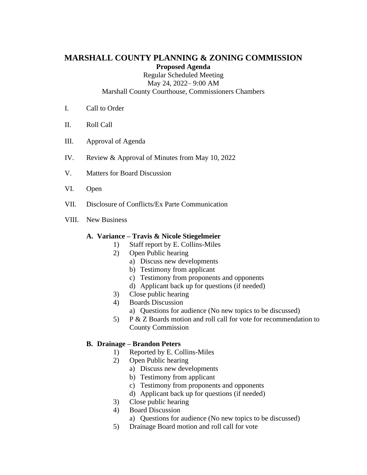# **MARSHALL COUNTY PLANNING & ZONING COMMISSION Proposed Agenda**

Regular Scheduled Meeting May 24, 2022– 9:00 AM

Marshall County Courthouse, Commissioners Chambers

- I. Call to Order
- II. Roll Call
- III. Approval of Agenda
- IV. Review & Approval of Minutes from May 10, 2022
- V. Matters for Board Discussion
- VI. Open
- VII. Disclosure of Conflicts/Ex Parte Communication
- VIII. New Business

#### **A. Variance – Travis & Nicole Stiegelmeier**

- 1) Staff report by E. Collins-Miles
- 2) Open Public hearing
	- a) Discuss new developments
	- b) Testimony from applicant
	- c) Testimony from proponents and opponents
	- d) Applicant back up for questions (if needed)
- 3) Close public hearing
- 4) Boards Discussion
	- a) Questions for audience (No new topics to be discussed)
- 5) P & Z Boards motion and roll call for vote for recommendation to County Commission

# **B. Drainage – Brandon Peters**

- 1) Reported by E. Collins-Miles
- 2) Open Public hearing
	- a) Discuss new developments
	- b) Testimony from applicant
	- c) Testimony from proponents and opponents
	- d) Applicant back up for questions (if needed)
- 3) Close public hearing
- 4) Board Discussion
	- a) Questions for audience (No new topics to be discussed)
- 5) Drainage Board motion and roll call for vote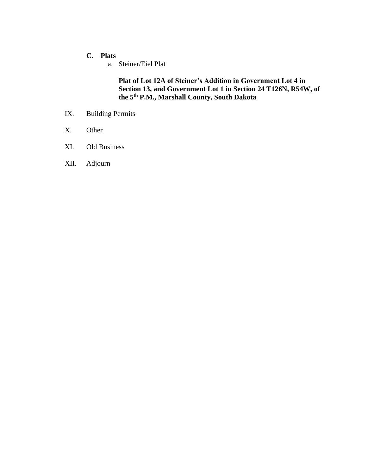# **C. Plats**

a. Steiner/Eiel Plat

**Plat of Lot 12A of Steiner's Addition in Government Lot 4 in Section 13, and Government Lot 1 in Section 24 T126N, R54W, of the 5th P.M., Marshall County, South Dakota** 

- IX. Building Permits
- X. Other
- XI. Old Business
- XII. Adjourn